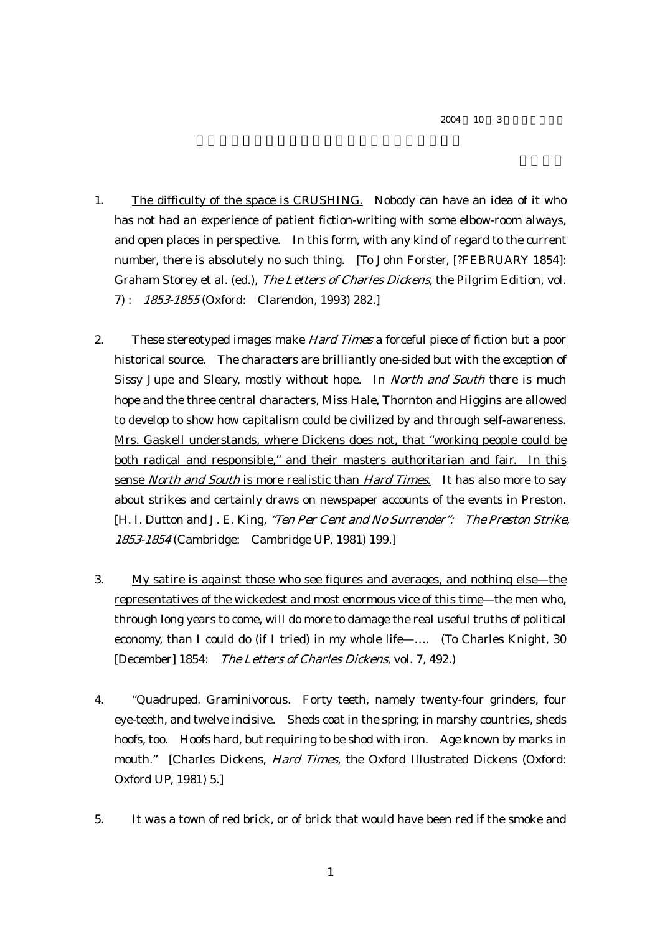$2004$   $10$   $3$ 

- 1. The difficulty of the space is CRUSHING. Nobody can have an idea of it who has not had an experience of patient fiction-writing with some elbow-room always, and open places in perspective. In this form, with any kind of regard to the current number, there is absolutely no such thing. [To John Forster, [?FEBRUARY 1854]: Graham Storey et al. (ed.), The Letters of Charles Dickens, the Pilgrim Edition, vol. 7) : 1853-1855 (Oxford: Clarendon, 1993) 282.]
- 2. These stereotyped images make *Hard Times* a forceful piece of fiction but a poor historical source. The characters are brilliantly one-sided but with the exception of Sissy Jupe and Sleary, mostly without hope. In *North and South* there is much hope and the three central characters, Miss Hale, Thornton and Higgins are allowed to develop to show how capitalism could be civilized by and through self-awareness. Mrs. Gaskell understands, where Dickens does not, that "working people could be both radical and responsible," and their masters authoritarian and fair. In this sense *North and South* is more realistic than *Hard Times*. It has also more to say about strikes and certainly draws on newspaper accounts of the events in Preston. [H. I. Dutton and J. E. King, "Ten Per Cent and No Surrender": The Preston Strike, 1853-1854 (Cambridge: Cambridge UP, 1981) 199.]
- 3. My satire is against those who see figures and averages, and nothing else—the representatives of the wickedest and most enormous vice of this time—the men who, through long years to come, will do more to damage the real useful truths of political economy, than I could do (if I tried) in my whole life—…. (To Charles Knight, 30 [December] 1854: The Letters of Charles Dickens, vol. 7, 492.)
- 4. "Quadruped. Graminivorous. Forty teeth, namely twenty-four grinders, four eye-teeth, and twelve incisive. Sheds coat in the spring; in marshy countries, sheds hoofs, too. Hoofs hard, but requiring to be shod with iron. Age known by marks in mouth." [Charles Dickens, *Hard Times*, the Oxford Illustrated Dickens (Oxford: Oxford UP, 1981) 5.]
- 5. It was a town of red brick, or of brick that would have been red if the smoke and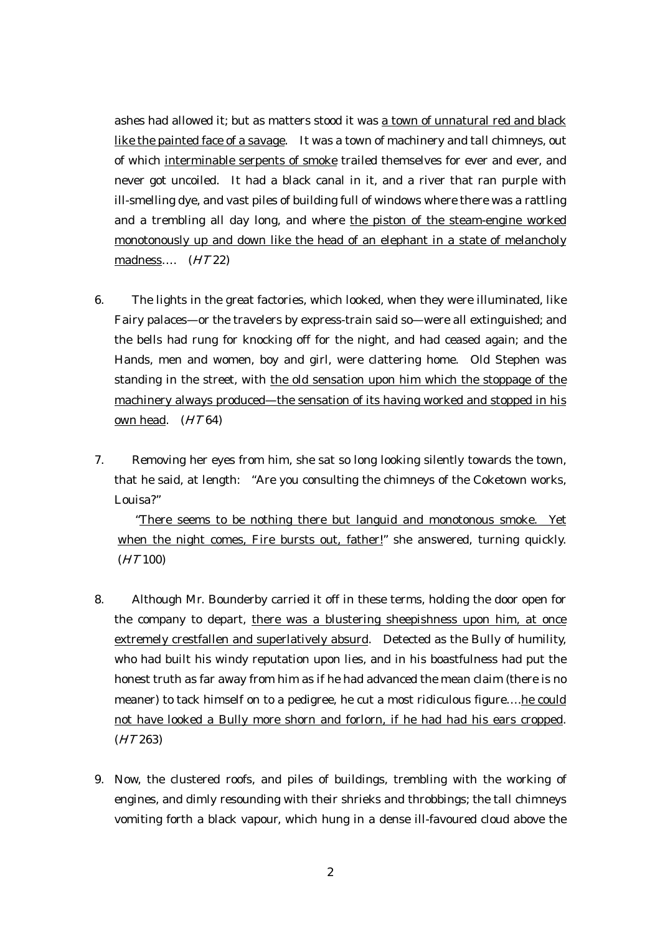ashes had allowed it; but as matters stood it was a town of unnatural red and black like the painted face of a savage. It was a town of machinery and tall chimneys, out of which interminable serpents of smoke trailed themselves for ever and ever, and never got uncoiled. It had a black canal in it, and a river that ran purple with ill-smelling dye, and vast piles of building full of windows where there was a rattling and a trembling all day long, and where the piston of the steam-engine worked monotonously up and down like the head of an elephant in a state of melancholy madness…. (HT 22)

- 6. The lights in the great factories, which looked, when they were illuminated, like Fairy palaces—or the travelers by express-train said so—were all extinguished; and the bells had rung for knocking off for the night, and had ceased again; and the Hands, men and women, boy and girl, were clattering home. Old Stephen was standing in the street, with the old sensation upon him which the stoppage of the machinery always produced—the sensation of its having worked and stopped in his own head.  $(HT64)$
- 7. Removing her eyes from him, she sat so long looking silently towards the town, that he said, at length: "Are you consulting the chimneys of the Coketown works, Louisa?"

 "There seems to be nothing there but languid and monotonous smoke. Yet when the night comes, Fire bursts out, father!" she answered, turning quickly.  $(HT100)$ 

- 8. Although Mr. Bounderby carried it off in these terms, holding the door open for the company to depart, there was a blustering sheepishness upon him, at once extremely crestfallen and superlatively absurd. Detected as the Bully of humility, who had built his windy reputation upon lies, and in his boastfulness had put the honest truth as far away from him as if he had advanced the mean claim (there is no meaner) to tack himself on to a pedigree, he cut a most ridiculous figure….he could not have looked a Bully more shorn and forlorn, if he had had his ears cropped. (HT 263)
- 9. Now, the clustered roofs, and piles of buildings, trembling with the working of engines, and dimly resounding with their shrieks and throbbings; the tall chimneys vomiting forth a black vapour, which hung in a dense ill-favoured cloud above the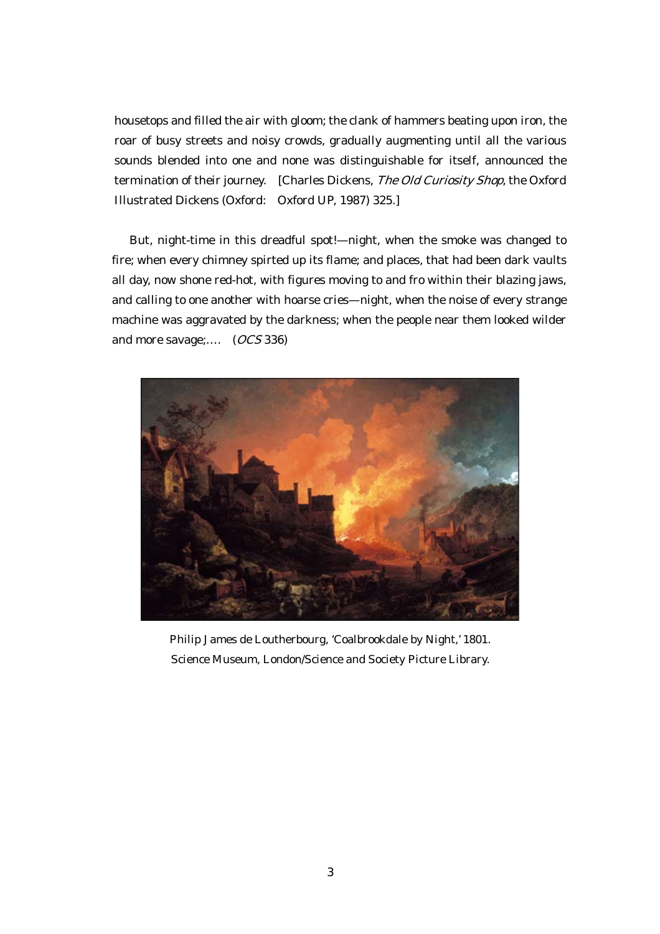housetops and filled the air with gloom; the clank of hammers beating upon iron, the roar of busy streets and noisy crowds, gradually augmenting until all the various sounds blended into one and none was distinguishable for itself, announced the termination of their journey. [Charles Dickens, The Old Curiosity Shop, the Oxford Illustrated Dickens (Oxford: Oxford UP, 1987) 325.]

 But, night-time in this dreadful spot!—night, when the smoke was changed to fire; when every chimney spirted up its flame; and places, that had been dark vaults all day, now shone red-hot, with figures moving to and fro within their blazing jaws, and calling to one another with hoarse cries—night, when the noise of every strange machine was aggravated by the darkness; when the people near them looked wilder and more savage;…. (OCS 336)



Philip James de Loutherbourg, 'Coalbrookdale by Night,' 1801. Science Museum, London/Science and Society Picture Library.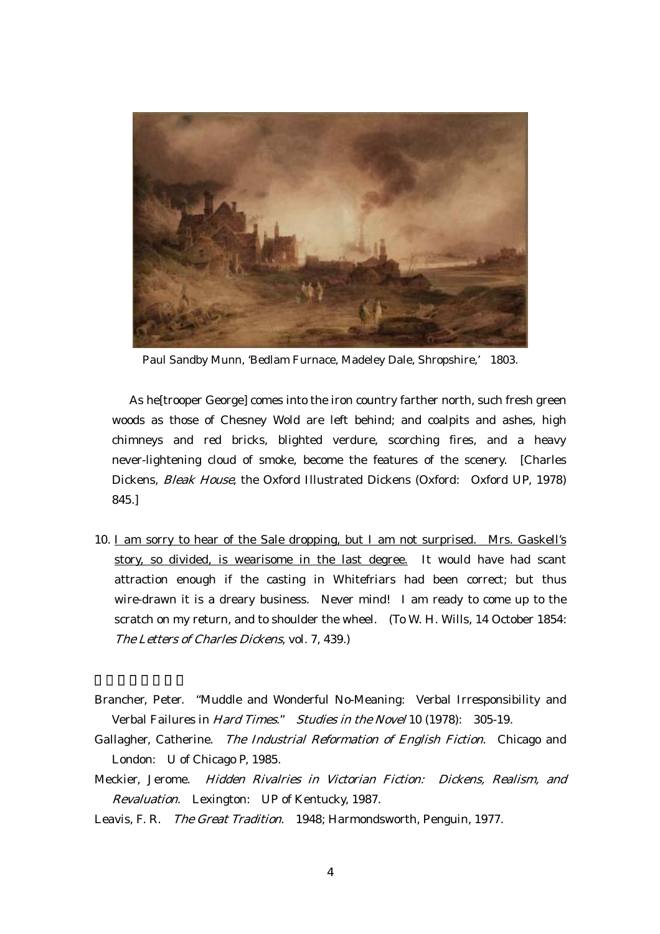

Paul Sandby Munn, 'Bedlam Furnace, Madeley Dale, Shropshire,' 1803.

 As he[trooper George] comes into the iron country farther north, such fresh green woods as those of Chesney Wold are left behind; and coalpits and ashes, high chimneys and red bricks, blighted verdure, scorching fires, and a heavy never-lightening cloud of smoke, become the features of the scenery. [Charles Dickens, Bleak House, the Oxford Illustrated Dickens (Oxford: Oxford UP, 1978) 845.]

- 10. I am sorry to hear of the Sale dropping, but I am not surprised. Mrs. Gaskell's story, so divided, is wearisome in the last degree. It would have had scant attraction enough if the casting in Whitefriars had been correct; but thus wire-drawn it is a dreary business. Never mind! I am ready to come up to the scratch on my return, and to shoulder the wheel. (To W. H. Wills, 14 October 1854: The Letters of Charles Dickens, vol. 7, 439.)
- Brancher, Peter. "Muddle and Wonderful No-Meaning: Verbal Irresponsibility and Verbal Failures in Hard Times." Studies in the Novel 10 (1978): 305-19.
- Gallagher, Catherine. The Industrial Reformation of English Fiction. Chicago and London: U of Chicago P, 1985.
- Meckier, Jerome. Hidden Rivalries in Victorian Fiction: Dickens, Realism, and Revaluation. Lexington: UP of Kentucky, 1987.
- Leavis, F. R. The Great Tradition. 1948; Harmondsworth, Penguin, 1977.